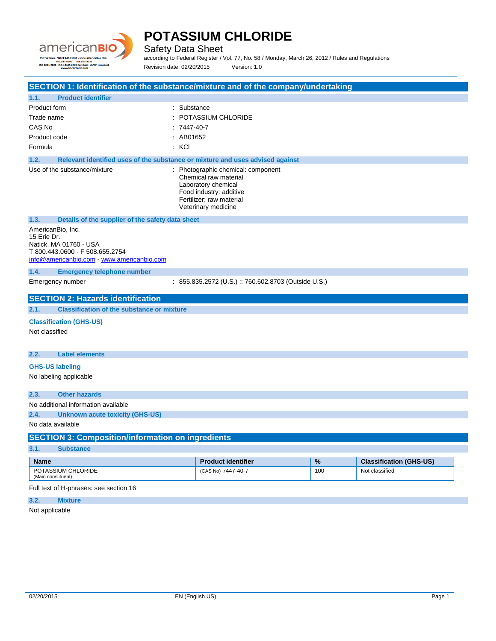

Safety Data Sheet

according to Federal Register / Vol. 77, No. 58 / Monday, March 26, 2012 / Rules and Regulations Revision date: 02/20/2015 Version: 1.0

| SECTION 1: Identification of the substance/mixture and of the company/undertaking                                                         |                                                                                                                                                                  |      |                                |
|-------------------------------------------------------------------------------------------------------------------------------------------|------------------------------------------------------------------------------------------------------------------------------------------------------------------|------|--------------------------------|
| <b>Product identifier</b><br>1.1.                                                                                                         |                                                                                                                                                                  |      |                                |
| Product form                                                                                                                              | : Substance                                                                                                                                                      |      |                                |
| Trade name                                                                                                                                | : POTASSIUM CHLORIDE                                                                                                                                             |      |                                |
| CAS No                                                                                                                                    | $:7447-40-7$                                                                                                                                                     |      |                                |
| Product code                                                                                                                              | : AB01652                                                                                                                                                        |      |                                |
| Formula                                                                                                                                   | : KCI                                                                                                                                                            |      |                                |
| 1.2.                                                                                                                                      | Relevant identified uses of the substance or mixture and uses advised against                                                                                    |      |                                |
| Use of the substance/mixture                                                                                                              | : Photographic chemical: component<br>Chemical raw material<br>Laboratory chemical<br>Food industry: additive<br>Fertilizer: raw material<br>Veterinary medicine |      |                                |
| 1.3.<br>Details of the supplier of the safety data sheet                                                                                  |                                                                                                                                                                  |      |                                |
| AmericanBio, Inc.<br>15 Erie Dr.<br>Natick, MA 01760 - USA<br>T 800.443.0600 - F 508.655.2754<br>info@americanbio.com www.americanbio.com |                                                                                                                                                                  |      |                                |
| 1.4.<br><b>Emergency telephone number</b>                                                                                                 |                                                                                                                                                                  |      |                                |
| Emergency number                                                                                                                          | : 855.835.2572 (U.S.) :: 760.602.8703 (Outside U.S.)                                                                                                             |      |                                |
| <b>SECTION 2: Hazards identification</b>                                                                                                  |                                                                                                                                                                  |      |                                |
| <b>Classification of the substance or mixture</b><br>2.1.                                                                                 |                                                                                                                                                                  |      |                                |
| <b>Classification (GHS-US)</b><br>Not classified                                                                                          |                                                                                                                                                                  |      |                                |
| <b>Label elements</b><br>2.2.                                                                                                             |                                                                                                                                                                  |      |                                |
| <b>GHS-US labeling</b>                                                                                                                    |                                                                                                                                                                  |      |                                |
| No labeling applicable                                                                                                                    |                                                                                                                                                                  |      |                                |
| 2.3.<br><b>Other hazards</b>                                                                                                              |                                                                                                                                                                  |      |                                |
| No additional information available                                                                                                       |                                                                                                                                                                  |      |                                |
| 2.4.<br><b>Unknown acute toxicity (GHS-US)</b>                                                                                            |                                                                                                                                                                  |      |                                |
| No data available                                                                                                                         |                                                                                                                                                                  |      |                                |
| <b>SECTION 3: Composition/information on ingredients</b>                                                                                  |                                                                                                                                                                  |      |                                |
| 3.1.<br><b>Substance</b>                                                                                                                  |                                                                                                                                                                  |      |                                |
| <b>Name</b>                                                                                                                               | <b>Product identifier</b>                                                                                                                                        | $\%$ | <b>Classification (GHS-US)</b> |
| POTASSIUM CHLORIDE<br>(Main constituent)                                                                                                  | (CAS No) 7447-40-7                                                                                                                                               | 100  | Not classified                 |
| Full text of H-phrases: see section 16                                                                                                    |                                                                                                                                                                  |      |                                |
| 3.2.<br><b>Mixture</b>                                                                                                                    |                                                                                                                                                                  |      |                                |

Not applicable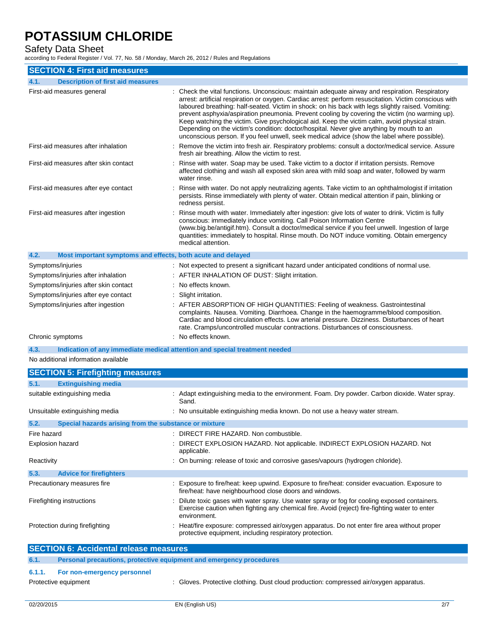## Safety Data Sheet

according to Federal Register / Vol. 77, No. 58 / Monday, March 26, 2012 / Rules and Regulations

| <b>SECTION 4: First aid measures</b>                                               |                                                                                                                                                                                                                                                                                                                                                                                                                                                                                                                                                                                                                                                                                                                 |
|------------------------------------------------------------------------------------|-----------------------------------------------------------------------------------------------------------------------------------------------------------------------------------------------------------------------------------------------------------------------------------------------------------------------------------------------------------------------------------------------------------------------------------------------------------------------------------------------------------------------------------------------------------------------------------------------------------------------------------------------------------------------------------------------------------------|
| <b>Description of first aid measures</b><br>4.1.                                   |                                                                                                                                                                                                                                                                                                                                                                                                                                                                                                                                                                                                                                                                                                                 |
| First-aid measures general                                                         | : Check the vital functions. Unconscious: maintain adequate airway and respiration. Respiratory<br>arrest: artificial respiration or oxygen. Cardiac arrest: perform resuscitation. Victim conscious with<br>laboured breathing: half-seated. Victim in shock: on his back with legs slightly raised. Vomiting:<br>prevent asphyxia/aspiration pneumonia. Prevent cooling by covering the victim (no warming up).<br>Keep watching the victim. Give psychological aid. Keep the victim calm, avoid physical strain.<br>Depending on the victim's condition: doctor/hospital. Never give anything by mouth to an<br>unconscious person. If you feel unwell, seek medical advice (show the label where possible). |
| First-aid measures after inhalation                                                | Remove the victim into fresh air. Respiratory problems: consult a doctor/medical service. Assure<br>fresh air breathing. Allow the victim to rest.                                                                                                                                                                                                                                                                                                                                                                                                                                                                                                                                                              |
| First-aid measures after skin contact                                              | Rinse with water. Soap may be used. Take victim to a doctor if irritation persists. Remove<br>affected clothing and wash all exposed skin area with mild soap and water, followed by warm<br>water rinse.                                                                                                                                                                                                                                                                                                                                                                                                                                                                                                       |
| First-aid measures after eye contact                                               | Rinse with water. Do not apply neutralizing agents. Take victim to an ophthalmologist if irritation<br>persists. Rinse immediately with plenty of water. Obtain medical attention if pain, blinking or<br>redness persist.                                                                                                                                                                                                                                                                                                                                                                                                                                                                                      |
| First-aid measures after ingestion                                                 | : Rinse mouth with water. Immediately after ingestion: give lots of water to drink. Victim is fully<br>conscious: immediately induce vomiting. Call Poison Information Centre<br>(www.big.be/antigif.htm). Consult a doctor/medical service if you feel unwell. Ingestion of large<br>quantities: immediately to hospital. Rinse mouth. Do NOT induce vomiting. Obtain emergency<br>medical attention.                                                                                                                                                                                                                                                                                                          |
| 4.2.<br>Most important symptoms and effects, both acute and delayed                |                                                                                                                                                                                                                                                                                                                                                                                                                                                                                                                                                                                                                                                                                                                 |
| Symptoms/injuries                                                                  | : Not expected to present a significant hazard under anticipated conditions of normal use.                                                                                                                                                                                                                                                                                                                                                                                                                                                                                                                                                                                                                      |
| Symptoms/injuries after inhalation                                                 | : AFTER INHALATION OF DUST: Slight irritation.                                                                                                                                                                                                                                                                                                                                                                                                                                                                                                                                                                                                                                                                  |
| Symptoms/injuries after skin contact                                               | : No effects known.                                                                                                                                                                                                                                                                                                                                                                                                                                                                                                                                                                                                                                                                                             |
| Symptoms/injuries after eye contact                                                | : Slight irritation.                                                                                                                                                                                                                                                                                                                                                                                                                                                                                                                                                                                                                                                                                            |
| Symptoms/injuries after ingestion                                                  | : AFTER ABSORPTION OF HIGH QUANTITIES: Feeling of weakness. Gastrointestinal<br>complaints. Nausea. Vomiting. Diarrhoea. Change in the haemogramme/blood composition.<br>Cardiac and blood circulation effects. Low arterial pressure. Dizziness. Disturbances of heart<br>rate. Cramps/uncontrolled muscular contractions. Disturbances of consciousness.                                                                                                                                                                                                                                                                                                                                                      |
| Chronic symptoms                                                                   | : No effects known.                                                                                                                                                                                                                                                                                                                                                                                                                                                                                                                                                                                                                                                                                             |
| Indication of any immediate medical attention and special treatment needed<br>4.3. |                                                                                                                                                                                                                                                                                                                                                                                                                                                                                                                                                                                                                                                                                                                 |
| No additional information available                                                |                                                                                                                                                                                                                                                                                                                                                                                                                                                                                                                                                                                                                                                                                                                 |
| <b>SECTION 5: Firefighting measures</b>                                            |                                                                                                                                                                                                                                                                                                                                                                                                                                                                                                                                                                                                                                                                                                                 |
| 5.1.<br><b>Extinguishing media</b>                                                 |                                                                                                                                                                                                                                                                                                                                                                                                                                                                                                                                                                                                                                                                                                                 |
| suitable extinguishing media                                                       | : Adapt extinguishing media to the environment. Foam. Dry powder. Carbon dioxide. Water spray.<br>Sand.                                                                                                                                                                                                                                                                                                                                                                                                                                                                                                                                                                                                         |
| Unsuitable extinguishing media                                                     | : No unsuitable extinguishing media known. Do not use a heavy water stream.                                                                                                                                                                                                                                                                                                                                                                                                                                                                                                                                                                                                                                     |
| 5.2.<br>Special hazards arising from the substance or mixture                      |                                                                                                                                                                                                                                                                                                                                                                                                                                                                                                                                                                                                                                                                                                                 |
| Fire hazard                                                                        | : DIRECT FIRE HAZARD. Non combustible.                                                                                                                                                                                                                                                                                                                                                                                                                                                                                                                                                                                                                                                                          |
| <b>Explosion hazard</b>                                                            | DIRECT EXPLOSION HAZARD. Not applicable. INDIRECT EXPLOSION HAZARD. Not<br>annlicahla                                                                                                                                                                                                                                                                                                                                                                                                                                                                                                                                                                                                                           |

| , ,, , ,, ,, ,, ,, ,                          | . DIREOT I IRE I II (E/ \IRD). I (OII OOIII) QUUDIO.                                                                                                                                                           |
|-----------------------------------------------|----------------------------------------------------------------------------------------------------------------------------------------------------------------------------------------------------------------|
| <b>Explosion hazard</b>                       | : DIRECT EXPLOSION HAZARD. Not applicable. INDIRECT EXPLOSION HAZARD. Not<br>applicable.                                                                                                                       |
| Reactivity                                    | : On burning: release of toxic and corrosive gases/vapours (hydrogen chloride).                                                                                                                                |
| 5.3.<br><b>Advice for firefighters</b>        |                                                                                                                                                                                                                |
| Precautionary measures fire                   | : Exposure to fire/heat: keep upwind. Exposure to fire/heat: consider evacuation. Exposure to<br>fire/heat: have neighbourhood close doors and windows.                                                        |
| Firefighting instructions                     | : Dilute toxic gases with water spray. Use water spray or fog for cooling exposed containers.<br>Exercise caution when fighting any chemical fire. Avoid (reject) fire-fighting water to enter<br>environment. |
| Protection during firefighting                | : Heat/fire exposure: compressed air/oxygen apparatus. Do not enter fire area without proper<br>protective equipment, including respiratory protection.                                                        |
| <b>SECTION 6: Accidental release measures</b> |                                                                                                                                                                                                                |
| 6.1.                                          | Personal precautions, protective equipment and emergency procedures                                                                                                                                            |
| 6.1.1.<br>For non-emergency personnel         |                                                                                                                                                                                                                |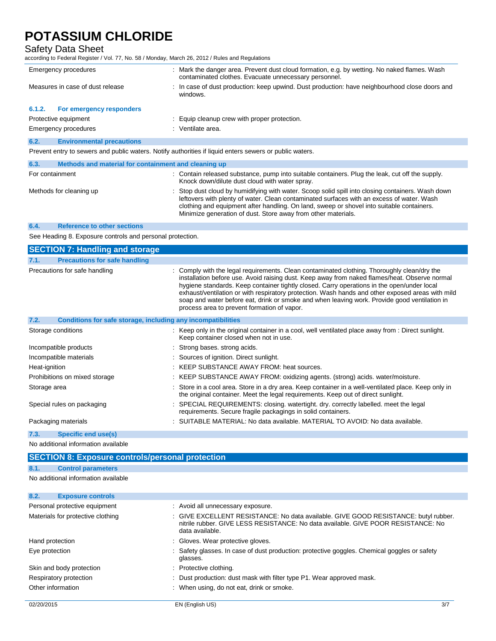## Safety Data Sheet

according to Federal Register / Vol. 77, No. 58 / Monday, March 26, 2012 / Rules and Regulations

|        | Emergency procedures                                 | : Mark the danger area. Prevent dust cloud formation, e.g. by wetting. No naked flames. Wash<br>contaminated clothes. Evacuate unnecessary personnel. |
|--------|------------------------------------------------------|-------------------------------------------------------------------------------------------------------------------------------------------------------|
|        | Measures in case of dust release                     | : In case of dust production: keep upwind. Dust production: have neighbourhood close doors and<br>windows.                                            |
| 6.1.2. | For emergency responders                             |                                                                                                                                                       |
|        | Protective equipment                                 | : Equip cleanup crew with proper protection.                                                                                                          |
|        | Emergency procedures                                 | : Ventilate area.                                                                                                                                     |
| 6.2.   | <b>Environmental precautions</b>                     |                                                                                                                                                       |
|        |                                                      | Prevent entry to sewers and public waters. Notify authorities if liquid enters sewers or public waters.                                               |
| 6.3.   | Methods and material for containment and cleaning up |                                                                                                                                                       |
|        | For containment                                      | : Contain released substance, pump into suitable containers. Plug the leak, cut off the supply.                                                       |

Minimize generation of dust. Store away from other materials.

Knock down/dilute dust cloud with water spray. Methods for cleaning up **interpret on the Containers** of Stop dust cloud by humidifying with water. Scoop solid spill into closing containers. Wash down leftovers with plenty of water. Clean contaminated surfaces with an excess of water. Wash clothing and equipment after handling. On land, sweep or shovel into suitable containers.

#### **6.4. Reference to other sections**

See Heading 8. Exposure controls and personal protection.

| <b>Precautions for safe handling</b><br>7.1.<br>Precautions for safe handling<br>: Comply with the legal requirements. Clean contaminated clothing. Thoroughly clean/dry the<br>installation before use. Avoid raising dust. Keep away from naked flames/heat. Observe normal<br>hygiene standards. Keep container tightly closed. Carry operations in the open/under local |  |
|-----------------------------------------------------------------------------------------------------------------------------------------------------------------------------------------------------------------------------------------------------------------------------------------------------------------------------------------------------------------------------|--|
|                                                                                                                                                                                                                                                                                                                                                                             |  |
| exhaust/ventilation or with respiratory protection. Wash hands and other exposed areas with mild<br>soap and water before eat, drink or smoke and when leaving work. Provide good ventilation in<br>process area to prevent formation of vapor.                                                                                                                             |  |
| 7.2.<br>Conditions for safe storage, including any incompatibilities                                                                                                                                                                                                                                                                                                        |  |
| : Keep only in the original container in a cool, well ventilated place away from : Direct sunlight.<br>Storage conditions<br>Keep container closed when not in use.                                                                                                                                                                                                         |  |
| Incompatible products<br>: Strong bases, strong acids.                                                                                                                                                                                                                                                                                                                      |  |
| Incompatible materials<br>: Sources of ignition. Direct sunlight.                                                                                                                                                                                                                                                                                                           |  |
| : KEEP SUBSTANCE AWAY FROM: heat sources.<br>Heat-ignition                                                                                                                                                                                                                                                                                                                  |  |
| : KEEP SUBSTANCE AWAY FROM: oxidizing agents. (strong) acids. water/moisture.<br>Prohibitions on mixed storage                                                                                                                                                                                                                                                              |  |
| : Store in a cool area. Store in a dry area. Keep container in a well-ventilated place. Keep only in<br>Storage area<br>the original container. Meet the legal requirements. Keep out of direct sunlight.                                                                                                                                                                   |  |
| : SPECIAL REQUIREMENTS: closing. watertight. dry. correctly labelled. meet the legal<br>Special rules on packaging<br>requirements. Secure fragile packagings in solid containers.                                                                                                                                                                                          |  |
| : SUITABLE MATERIAL: No data available. MATERIAL TO AVOID: No data available.<br>Packaging materials                                                                                                                                                                                                                                                                        |  |
| 7.3.<br>Specific end use(s)                                                                                                                                                                                                                                                                                                                                                 |  |

No additional information available

## **SECTION 8: Exposure controls/personal protection**

## **8.1. Control parameters**

No additional information available

| 8.2.<br><b>Exposure controls</b>  |                                                                                                                                                                                             |
|-----------------------------------|---------------------------------------------------------------------------------------------------------------------------------------------------------------------------------------------|
| Personal protective equipment     | : Avoid all unnecessary exposure.                                                                                                                                                           |
| Materials for protective clothing | : GIVE EXCELLENT RESISTANCE: No data available. GIVE GOOD RESISTANCE: butyl rubber.<br>nitrile rubber. GIVE LESS RESISTANCE: No data available. GIVE POOR RESISTANCE: No<br>data available. |
| Hand protection                   | : Gloves. Wear protective gloves.                                                                                                                                                           |
| Eye protection                    | : Safety glasses. In case of dust production: protective goggles. Chemical goggles or safety<br>glasses.                                                                                    |
| Skin and body protection          | : Protective clothing.                                                                                                                                                                      |
| Respiratory protection            | : Dust production: dust mask with filter type P1. Wear approved mask.                                                                                                                       |
| Other information                 | : When using, do not eat, drink or smoke.                                                                                                                                                   |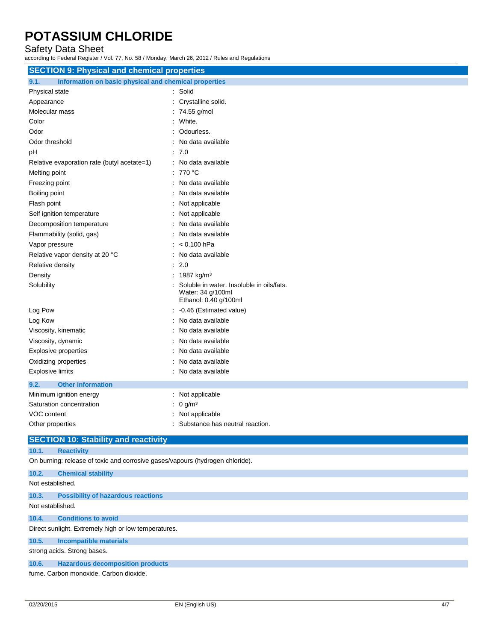## Safety Data Sheet

according to Federal Register / Vol. 77, No. 58 / Monday, March 26, 2012 / Rules and Regulations

| <b>SECTION 9: Physical and chemical properties</b>                            |                                                                                         |  |
|-------------------------------------------------------------------------------|-----------------------------------------------------------------------------------------|--|
| 9.1.<br>Information on basic physical and chemical properties                 |                                                                                         |  |
| Physical state                                                                | : Solid                                                                                 |  |
| Appearance                                                                    | Crystalline solid.                                                                      |  |
| Molecular mass                                                                | : 74.55 g/mol                                                                           |  |
| Color                                                                         | : White.                                                                                |  |
| Odor                                                                          | Odourless.                                                                              |  |
| Odor threshold                                                                | : No data available                                                                     |  |
| рH                                                                            | .70                                                                                     |  |
| Relative evaporation rate (butyl acetate=1)                                   | : No data available                                                                     |  |
| Melting point                                                                 | : 770 $\degree$ C                                                                       |  |
| Freezing point                                                                | : No data available                                                                     |  |
| Boiling point                                                                 | No data available                                                                       |  |
| Flash point                                                                   | : Not applicable                                                                        |  |
| Self ignition temperature                                                     | : Not applicable                                                                        |  |
| Decomposition temperature                                                     | No data available                                                                       |  |
| Flammability (solid, gas)                                                     | : No data available                                                                     |  |
| Vapor pressure                                                                | $: < 0.100$ hPa                                                                         |  |
| Relative vapor density at 20 °C                                               | : No data available                                                                     |  |
| Relative density                                                              | $\therefore$ 2.0                                                                        |  |
| Density                                                                       | : 1987 kg/m <sup>3</sup>                                                                |  |
| Solubility                                                                    | Soluble in water. Insoluble in oils/fats.<br>Water: 34 g/100ml<br>Ethanol: 0.40 g/100ml |  |
| Log Pow                                                                       | : -0.46 (Estimated value)                                                               |  |
| Log Kow                                                                       | No data available                                                                       |  |
| Viscosity, kinematic                                                          | No data available                                                                       |  |
| Viscosity, dynamic                                                            | No data available                                                                       |  |
| <b>Explosive properties</b>                                                   | No data available                                                                       |  |
| Oxidizing properties                                                          | No data available                                                                       |  |
| <b>Explosive limits</b>                                                       | : No data available                                                                     |  |
| 9.2.<br><b>Other information</b>                                              |                                                                                         |  |
| Minimum ignition energy                                                       | : Not applicable                                                                        |  |
| Saturation concentration                                                      | : 0 g/m <sup>3</sup>                                                                    |  |
| VOC content                                                                   | Not applicable                                                                          |  |
| Other properties                                                              | : Substance has neutral reaction.                                                       |  |
| <b>SECTION 10: Stability and reactivity</b>                                   |                                                                                         |  |
| 10.1.<br><b>Reactivity</b>                                                    |                                                                                         |  |
| On burning: release of toxic and corrosive gases/vapours (hydrogen chloride). |                                                                                         |  |
| 10.2.<br><b>Chemical stability</b>                                            |                                                                                         |  |
|                                                                               |                                                                                         |  |

#### Not established.

#### **10.3. Possibility of hazardous reactions**

#### Not established.

#### **10.4. Conditions to avoid**

Direct sunlight. Extremely high or low temperatures.

#### **10.5. Incompatible materials**

strong acids. Strong bases.

### **10.6. Hazardous decomposition products**

fume. Carbon monoxide. Carbon dioxide.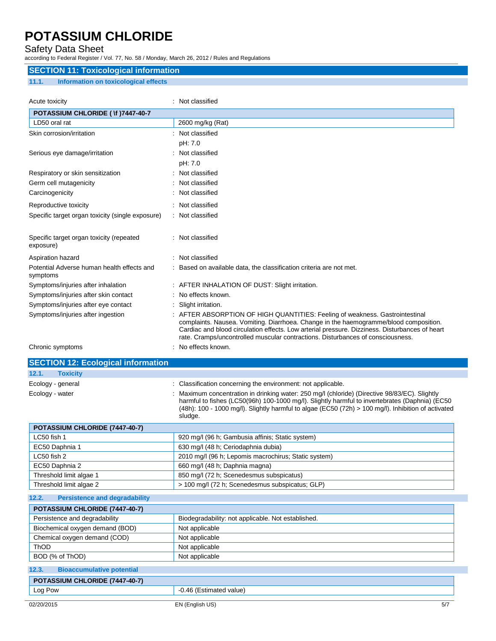## Safety Data Sheet

according to Federal Register / Vol. 77, No. 58 / Monday, March 26, 2012 / Rules and Regulations

## **SECTION 11: Toxicological information 11.1. Information on toxicological effects**

| Acute toxicity                                         | Not classified                                                                                                                                                                                                                                                                                                                                           |
|--------------------------------------------------------|----------------------------------------------------------------------------------------------------------------------------------------------------------------------------------------------------------------------------------------------------------------------------------------------------------------------------------------------------------|
| POTASSIUM CHLORIDE ( \f )7447-40-7                     |                                                                                                                                                                                                                                                                                                                                                          |
| LD50 oral rat                                          | 2600 mg/kg (Rat)                                                                                                                                                                                                                                                                                                                                         |
| Skin corrosion/irritation                              | Not classified                                                                                                                                                                                                                                                                                                                                           |
|                                                        | pH: 7.0                                                                                                                                                                                                                                                                                                                                                  |
| Serious eye damage/irritation                          | : Not classified                                                                                                                                                                                                                                                                                                                                         |
|                                                        | pH: 7.0                                                                                                                                                                                                                                                                                                                                                  |
| Respiratory or skin sensitization                      | Not classified                                                                                                                                                                                                                                                                                                                                           |
| Germ cell mutagenicity                                 | Not classified                                                                                                                                                                                                                                                                                                                                           |
| Carcinogenicity                                        | Not classified                                                                                                                                                                                                                                                                                                                                           |
| Reproductive toxicity                                  | Not classified                                                                                                                                                                                                                                                                                                                                           |
| Specific target organ toxicity (single exposure)       | Not classified                                                                                                                                                                                                                                                                                                                                           |
| Specific target organ toxicity (repeated<br>exposure)  | Not classified                                                                                                                                                                                                                                                                                                                                           |
| Aspiration hazard                                      | Not classified                                                                                                                                                                                                                                                                                                                                           |
| Potential Adverse human health effects and<br>symptoms | Based on available data, the classification criteria are not met.                                                                                                                                                                                                                                                                                        |
| Symptoms/injuries after inhalation                     | : AFTER INHALATION OF DUST: Slight irritation.                                                                                                                                                                                                                                                                                                           |
| Symptoms/injuries after skin contact                   | No effects known.                                                                                                                                                                                                                                                                                                                                        |
| Symptoms/injuries after eye contact                    | : Slight irritation.                                                                                                                                                                                                                                                                                                                                     |
| Symptoms/injuries after ingestion                      | AFTER ABSORPTION OF HIGH QUANTITIES: Feeling of weakness. Gastrointestinal<br>complaints. Nausea. Vomiting. Diarrhoea. Change in the haemogramme/blood composition.<br>Cardiac and blood circulation effects. Low arterial pressure. Dizziness. Disturbances of heart<br>rate. Cramps/uncontrolled muscular contractions. Disturbances of consciousness. |
| Chronic symptoms                                       | No effects known.                                                                                                                                                                                                                                                                                                                                        |

**SECTION 12:** 

|                 | <b>SECTION 12: Ecological information</b> |                                                           |
|-----------------|-------------------------------------------|-----------------------------------------------------------|
| 12.1.           | <b>Toxicity</b>                           |                                                           |
| Ecology gonoral |                                           | Closeification concerning the environment: not applicable |

| Ecology - general | : Classification concerning the environment: not applicable.                                                                                                                                                                                                                                                         |
|-------------------|----------------------------------------------------------------------------------------------------------------------------------------------------------------------------------------------------------------------------------------------------------------------------------------------------------------------|
| Ecology - water   | Maximum concentration in drinking water: 250 mg/l (chloride) (Directive 98/83/EC). Slightly<br>harmful to fishes (LC50(96h) 100-1000 mg/l). Slightly harmful to invertebrates (Daphnia) (EC50<br>$(48h)$ : 100 - 1000 mg/l). Slightly harmful to algae (EC50 $(72h) > 100$ mg/l). Inhibition of activated<br>sludge. |

| <b>POTASSIUM CHLORIDE (7447-40-7)</b> |                                                      |
|---------------------------------------|------------------------------------------------------|
| LC50 fish 1                           | 920 mg/l (96 h; Gambusia affinis; Static system)     |
| EC50 Daphnia 1                        | 630 mg/l (48 h; Ceriodaphnia dubia)                  |
| LC50 fish 2                           | 2010 mg/l (96 h; Lepomis macrochirus; Static system) |
| EC50 Daphnia 2                        | 660 mg/l (48 h; Daphnia magna)                       |
| Threshold limit algae 1               | 850 mg/l (72 h; Scenedesmus subspicatus)             |
| Threshold limit algae 2               | > 100 mg/l (72 h; Scenedesmus subspicatus; GLP)      |

## **12.2. Persistence and degradability**

| POTASSIUM CHLORIDE (7447-40-7)  |                                                    |  |
|---------------------------------|----------------------------------------------------|--|
| Persistence and degradability   | Biodegradability: not applicable. Not established. |  |
| Biochemical oxygen demand (BOD) | Not applicable                                     |  |
| Chemical oxygen demand (COD)    | Not applicable                                     |  |
| ThOD                            | Not applicable                                     |  |
| BOD (% of ThOD)                 | Not applicable                                     |  |

| 12.3.                                 | <b>Bioaccumulative potential</b> |                         |     |
|---------------------------------------|----------------------------------|-------------------------|-----|
| <b>POTASSIUM CHLORIDE (7447-40-7)</b> |                                  |                         |     |
| Log Pow                               |                                  | -0.46 (Estimated value) |     |
| 02/20/2015                            |                                  | EN (English US)         | 5/7 |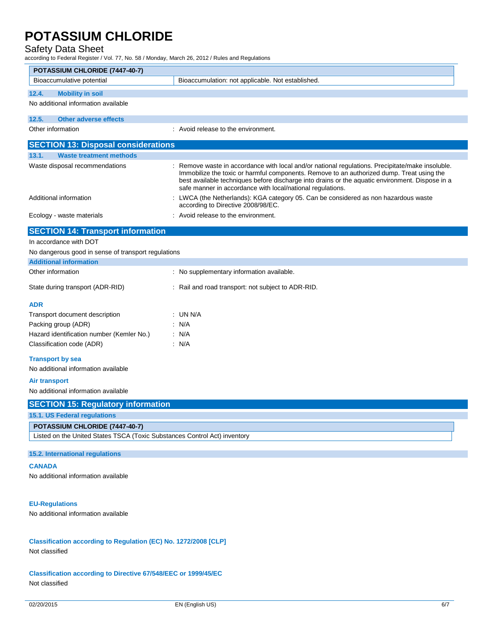## Safety Data Sheet

according to Federal Register / Vol. 77, No. 58 / Monday, March 26, 2012 / Rules and Regulations

| according to Federal Register / Vol. 77, No. 58 / Monday, March 26, 2012 / Rules and Regulations |                                                                                                                                                                                                                                                                                                                                                                |  |  |  |  |
|--------------------------------------------------------------------------------------------------|----------------------------------------------------------------------------------------------------------------------------------------------------------------------------------------------------------------------------------------------------------------------------------------------------------------------------------------------------------------|--|--|--|--|
| POTASSIUM CHLORIDE (7447-40-7)<br>Bioaccumulative potential                                      | Bioaccumulation: not applicable. Not established.                                                                                                                                                                                                                                                                                                              |  |  |  |  |
|                                                                                                  |                                                                                                                                                                                                                                                                                                                                                                |  |  |  |  |
| <b>Mobility in soil</b><br>12.4.                                                                 |                                                                                                                                                                                                                                                                                                                                                                |  |  |  |  |
| No additional information available                                                              |                                                                                                                                                                                                                                                                                                                                                                |  |  |  |  |
| 12.5.<br><b>Other adverse effects</b>                                                            |                                                                                                                                                                                                                                                                                                                                                                |  |  |  |  |
| Other information                                                                                | : Avoid release to the environment.                                                                                                                                                                                                                                                                                                                            |  |  |  |  |
| <b>SECTION 13: Disposal considerations</b>                                                       |                                                                                                                                                                                                                                                                                                                                                                |  |  |  |  |
| 13.1.<br><b>Waste treatment methods</b>                                                          |                                                                                                                                                                                                                                                                                                                                                                |  |  |  |  |
| Waste disposal recommendations                                                                   | : Remove waste in accordance with local and/or national regulations. Precipitate/make insoluble.<br>Immobilize the toxic or harmful components. Remove to an authorized dump. Treat using the<br>best available techniques before discharge into drains or the aquatic environment. Dispose in a<br>safe manner in accordance with local/national regulations. |  |  |  |  |
| Additional information                                                                           | LWCA (the Netherlands): KGA category 05. Can be considered as non hazardous waste<br>according to Directive 2008/98/EC.                                                                                                                                                                                                                                        |  |  |  |  |
| Ecology - waste materials                                                                        | : Avoid release to the environment.                                                                                                                                                                                                                                                                                                                            |  |  |  |  |
| <b>SECTION 14: Transport information</b>                                                         |                                                                                                                                                                                                                                                                                                                                                                |  |  |  |  |
| In accordance with DOT                                                                           |                                                                                                                                                                                                                                                                                                                                                                |  |  |  |  |
| No dangerous good in sense of transport regulations                                              |                                                                                                                                                                                                                                                                                                                                                                |  |  |  |  |
| <b>Additional information</b>                                                                    |                                                                                                                                                                                                                                                                                                                                                                |  |  |  |  |
| Other information                                                                                | : No supplementary information available.                                                                                                                                                                                                                                                                                                                      |  |  |  |  |
| State during transport (ADR-RID)                                                                 | : Rail and road transport: not subject to ADR-RID.                                                                                                                                                                                                                                                                                                             |  |  |  |  |
| <b>ADR</b>                                                                                       |                                                                                                                                                                                                                                                                                                                                                                |  |  |  |  |
| Transport document description                                                                   | : UN N/A                                                                                                                                                                                                                                                                                                                                                       |  |  |  |  |
| Packing group (ADR)                                                                              | : N/A                                                                                                                                                                                                                                                                                                                                                          |  |  |  |  |
| Hazard identification number (Kemler No.)                                                        | : N/A                                                                                                                                                                                                                                                                                                                                                          |  |  |  |  |
| Classification code (ADR)                                                                        | : N/A                                                                                                                                                                                                                                                                                                                                                          |  |  |  |  |
| <b>Transport by sea</b>                                                                          |                                                                                                                                                                                                                                                                                                                                                                |  |  |  |  |
| No additional information available                                                              |                                                                                                                                                                                                                                                                                                                                                                |  |  |  |  |
| Air transport                                                                                    |                                                                                                                                                                                                                                                                                                                                                                |  |  |  |  |
| No additional information available                                                              |                                                                                                                                                                                                                                                                                                                                                                |  |  |  |  |
| <b>SECTION 15: Regulatory information</b>                                                        |                                                                                                                                                                                                                                                                                                                                                                |  |  |  |  |
| 15.1. US Federal regulations                                                                     |                                                                                                                                                                                                                                                                                                                                                                |  |  |  |  |
| POTASSIUM CHLORIDE (7447-40-7)                                                                   |                                                                                                                                                                                                                                                                                                                                                                |  |  |  |  |
| Listed on the United States TSCA (Toxic Substances Control Act) inventory                        |                                                                                                                                                                                                                                                                                                                                                                |  |  |  |  |
| 15.2. International regulations                                                                  |                                                                                                                                                                                                                                                                                                                                                                |  |  |  |  |
| <b>CANADA</b>                                                                                    |                                                                                                                                                                                                                                                                                                                                                                |  |  |  |  |
| No additional information available                                                              |                                                                                                                                                                                                                                                                                                                                                                |  |  |  |  |
|                                                                                                  |                                                                                                                                                                                                                                                                                                                                                                |  |  |  |  |
| <b>EU-Regulations</b>                                                                            |                                                                                                                                                                                                                                                                                                                                                                |  |  |  |  |
| No additional information available                                                              |                                                                                                                                                                                                                                                                                                                                                                |  |  |  |  |
|                                                                                                  |                                                                                                                                                                                                                                                                                                                                                                |  |  |  |  |
|                                                                                                  |                                                                                                                                                                                                                                                                                                                                                                |  |  |  |  |
| Classification according to Regulation (EC) No. 1272/2008 [CLP]<br>Not classified                |                                                                                                                                                                                                                                                                                                                                                                |  |  |  |  |

**Classification according to Directive 67/548/EEC or 1999/45/EC** Not classified